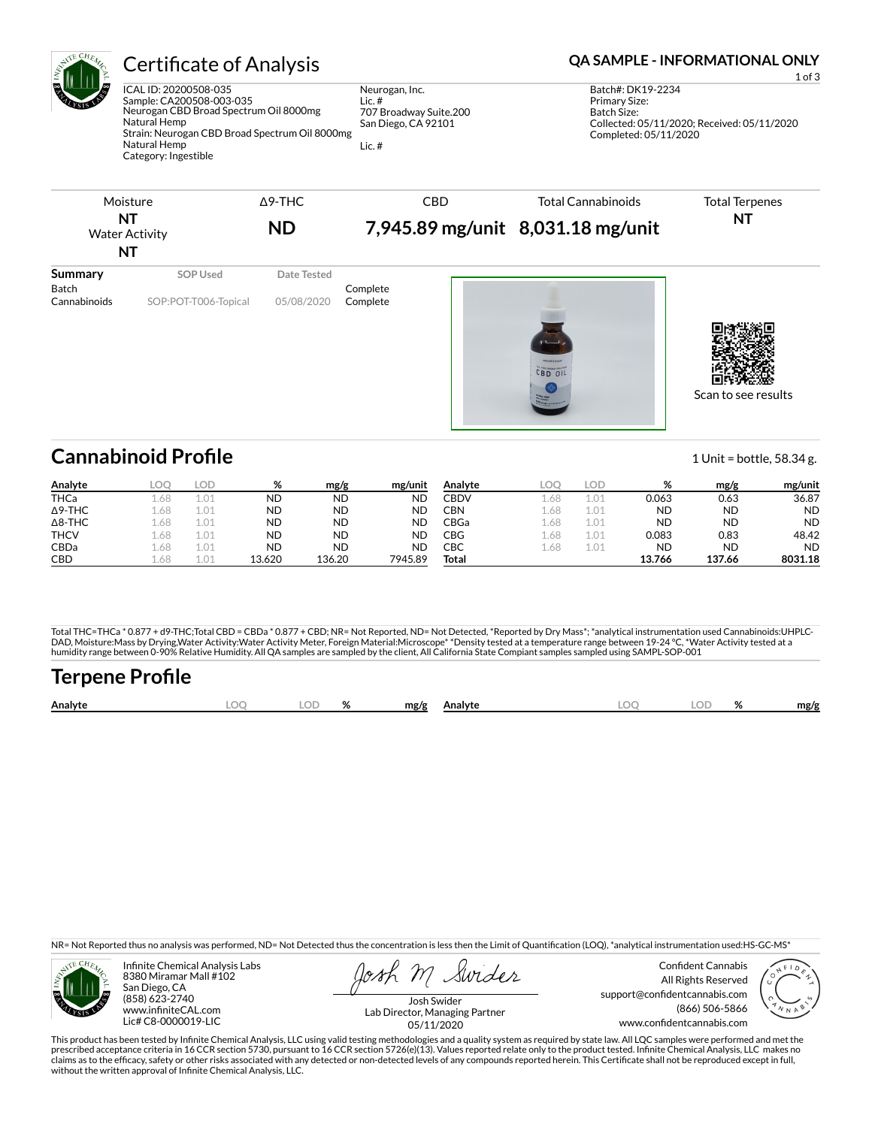

ICAL ID: 20200508-035 Sample: CA200508-003-035 Neurogan CBD Broad Spectrum Oil 8000mg Natural Hemp Strain: Neurogan CBD Broad Spectrum Oil 8000mg Natural Hemp Category: Ingestible

Neurogan, Inc. Lic. # 707 Broadway Suite.200 San Diego, CA 92101

Lic. #

## Certificate of Analysis **Certificate of Analysis QA SAMPLE - INFORMATIONAL ONLY**

| Moisture<br>NT<br><b>Water Activity</b><br>NT |                                  | $\Delta$ 9-THC<br><b>ND</b> | <b>CBD</b>           | <b>Total Cannabinoids</b><br>7,945.89 mg/unit 8,031.18 mg/unit | <b>Total Terpenes</b><br><b>NT</b> |
|-----------------------------------------------|----------------------------------|-----------------------------|----------------------|----------------------------------------------------------------|------------------------------------|
| Summary<br>Batch<br>Cannabinoids              | SOP Used<br>SOP:POT-T006-Topical | Date Tested<br>05/08/2020   | Complete<br>Complete | <b>NEUDOGAN</b><br>CBD OIL                                     | Scan to see results                |

## **Cannabinoid Profile** 1 Unit = bottle, 58.34 g.

| Analyte        | LOC  | lod       | %         | mg/g      | mg/unit   | Analyte | LOC    | .OD              | %         | mg/g      | mg/unit   |
|----------------|------|-----------|-----------|-----------|-----------|---------|--------|------------------|-----------|-----------|-----------|
| <b>THCa</b>    | .68  | 1.01      | <b>ND</b> | <b>ND</b> | ΝD        | CBDV    | - 68   | 1.01             | 0.063     | 0.63      | 36.87     |
| $\Delta$ 9-THC | .68  | 1.01      | <b>ND</b> | <b>ND</b> | ΝD        | CBN     | - 46.  | 1.01             | ND        | <b>ND</b> | <b>ND</b> |
| $\Delta$ 8-THC | 1.68 | 1.01      | <b>ND</b> | ND        | ΝD        | CBGa    | - 86.1 | 1.01             | <b>ND</b> | <b>ND</b> | <b>ND</b> |
| <b>THCV</b>    | 1.68 | 1.01      | <b>ND</b> | ND        | <b>ND</b> | CBG     | - 86.1 | 1.01             | 0.083     | 0.83      | 48.42     |
| CBDa           | 1.68 | 1.01      | <b>ND</b> | ND        | ΝD        | СВС     | - 68   | 1.0 <sup>4</sup> | ND        | <b>ND</b> | <b>ND</b> |
| <b>CBD</b>     | - 68 | $\pm .04$ | 13.620    | 136.20    | 7945.89   | Total   |        |                  | 13.766    | 137.66    | 8031.18   |

Total THC=THCa \* 0.877 + d9-THC;Total CBD = CBDa \* 0.877 + CBD; NR= Not Reported, ND= Not Detected, \*Reported by Dry Mass\*; \*analytical instrumentation used Cannabinoids:UHPLC-DAD, Moisture:Mass by Drying,Water Activity:Water Activity Meter, Foreign Material:Microscope\* \*Density tested at a temperature range between 19-24 °C, \*Water Activity tested at a<br>humidity range between 0-90% Relative Humi

## **Terpene Profile**

| Analytr |  | $\mathbf{a}$ | mg/g<br><b>Analytr</b> | $-$ | Ω | mg/g |
|---------|--|--------------|------------------------|-----|---|------|
|         |  |              |                        |     |   |      |

NR= Not Reported thus no analysis was performed, ND= Not Detected thus the concentration is less then the Limit of Quantification (LOQ), \*analytical instrumentation used:HS-GC-MS\*



Infinite Chemical Analysis Labs 8380 Miramar Mall #102 San Diego, CA (858) 623-2740 www.infiniteCAL.com Lic# C8-0000019-LIC

Swides

Confident Cannabis All Rights Reserved support@confidentcannabis.com (866) 506-5866 www.confidentcannabis.com



Josh Swider Lab Director, Managing Partner 05/11/2020

This product has been tested by Infinite Chemical Analysis, LLC using valid testing methodologies and a quality system as required by state law. All LQC samples were performed and met the prescribed acceptance criteria in 16 CCR section 5730, pursuant to 16 CCR section 5726(e)(13). Values reported relate only to the product tested. Infinite Chemical Analysis, LLC makes no<br>claims as to the efficacy, safety o without the written approval of Infinite Chemical Analysis, LLC.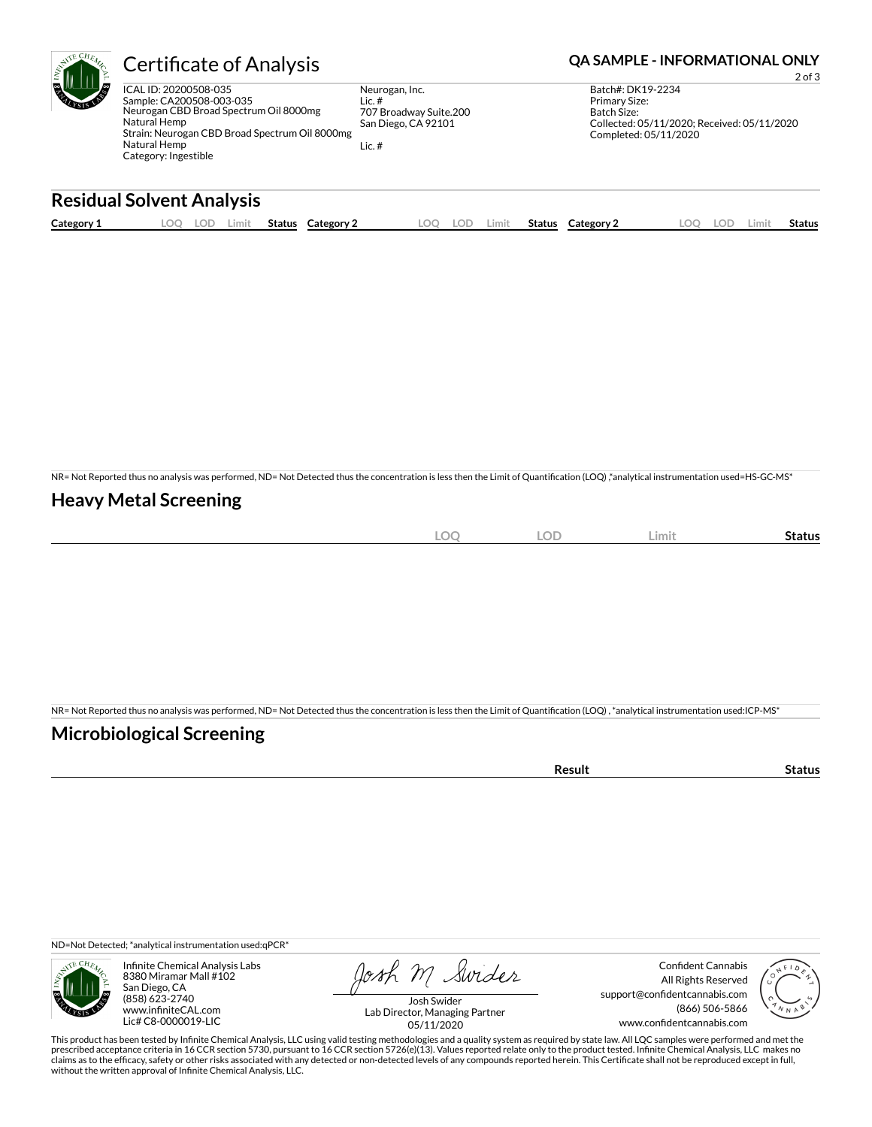

ICAL ID: 20200508-035 Sample: CA200508-003-035 Neurogan CBD Broad Spectrum Oil 8000mg Natural Hemp Strain: Neurogan CBD Broad Spectrum Oil 8000mg Natural Hemp Category: Ingestible

Neurogan, Inc. Lic. # 707 Broadway Suite.200 San Diego, CA 92101

Lic. #

## Certificate of Analysis **Certificate of Analysis QA SAMPLE - INFORMATIONAL ONLY**

2 of 3

Batch#: DK19-2234 Primary Size: Batch Size: Collected: 05/11/2020; Received: 05/11/2020 Completed: 05/11/2020

## **Residual Solvent Analysis**

| Category 1 | LOC<br>⊾OL' | Limit | Status | Category 2 | LOQ | LOD | Limit | Status | Category 2 | LOC | LOD. | .imit | Status |
|------------|-------------|-------|--------|------------|-----|-----|-------|--------|------------|-----|------|-------|--------|
|            |             |       |        |            |     |     |       |        |            |     |      |       |        |

NR= Not Reported thus no analysis was performed, ND= Not Detected thus the concentration is less then the Limit of Quantification (LOQ),\*analytical instrumentation used=HS-GC-MS\*

#### **Heavy Metal Screening**

| $\sim$<br>∼<br>$\sim$ | <b>LOD</b> | Limit | status |
|-----------------------|------------|-------|--------|
|                       |            |       |        |

NR= Not Reported thus no analysis was performed, ND= Not Detected thus the concentration is less then the Limit of Quantification (LOQ), \*analytical instrumentation used:ICP-MS\*

#### **Microbiological Screening**

ND=Not Detected; \*analytical instrumentation used:qPCR\*



Infinite Chemical Analysis Labs 8380 Miramar Mall #102 San Diego, CA (858) 623-2740 www.infiniteCAL.com Lic# C8-0000019-LIC

Josh M Swider

Confident Cannabis All Rights Reserved support@confidentcannabis.com (866) 506-5866 www.confidentcannabis.com



Josh Swider Lab Director, Managing Partner 05/11/2020

This product has been tested by Infinite Chemical Analysis, LLC using valid testing methodologies and a quality system as required by state law. All LQC samples were performed and met the prescribed acceptance criteria in 16 CCR section 5730, pursuant to 16 CCR section 5726(e)(13). Values reported relate only to the product tested. Infinite Chemical Analysis, LLC makes no<br>claims as to the efficacy, safety o without the written approval of Infinite Chemical Analysis, LLC.